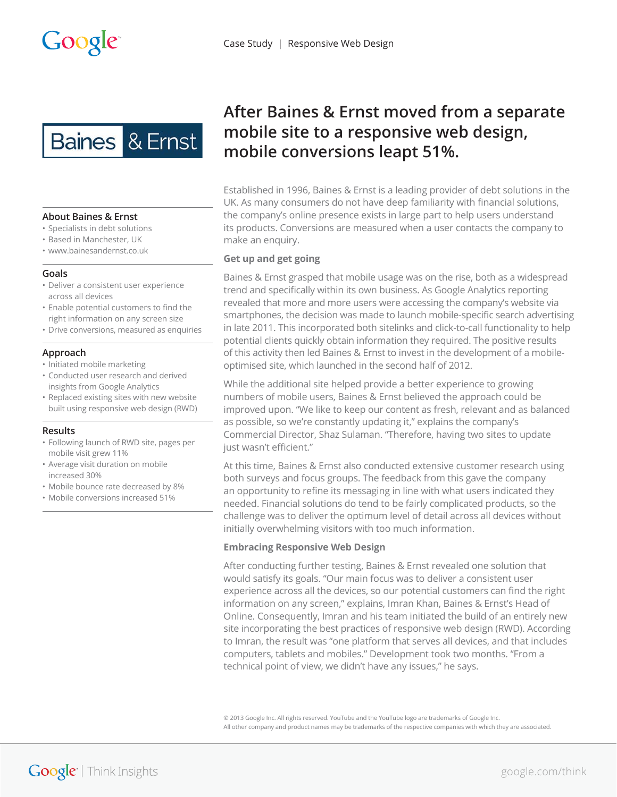

# **About Baines & Ernst**

- ȏ Specialists in debt solutions
- ȏ Based in Manchester, UK
- ȏ<www.bainesandernst.co.uk>

### **Goals**

- ȏ Deliver a consistent user experience across all devices
- Enable potential customers to find the right information on any screen size
- Drive conversions, measured as enquiries

### **Approach**

- Initiated mobile marketing
- ȏ Conducted user research and derived insights from Google Analytics
- ȏ Replaced existing sites with new website built using responsive web design (RWD)

### **Results**

- ȏ Following launch of RWD site, pages per mobile visit grew 11%
- ȏ Average visit duration on mobile increased 30%
- ȏ Mobile bounce rate decreased by 8%
- ȏ Mobile conversions increased 51%

# **After Baines & Ernst moved from a separate mobile site to a responsive web design, mobile conversions leapt 51%.**

Established in 1996, Baines & Ernst is a leading provider of debt solutions in the UK. As many consumers do not have deep familiarity with financial solutions, the company's online presence exists in large part to help users understand its products. Conversions are measured when a user contacts the company to make an enquiry.

# **Get up and get going**

Baines & Ernst grasped that mobile usage was on the rise, both as a widespread trend and specifically within its own business. As Google Analytics reporting revealed that more and more users were accessing the company's website via smartphones, the decision was made to launch mobile-specific search advertising in late 2011. This incorporated both sitelinks and click-to-call functionality to help potential clients quickly obtain information they required. The positive results of this activity then led Baines & Ernst to invest in the development of a mobileoptimised site, which launched in the second half of 2012.

While the additional site helped provide a better experience to growing numbers of mobile users, Baines & Ernst believed the approach could be improved upon. "We like to keep our content as fresh, relevant and as balanced as possible, so we're constantly updating it," explains the company's Commercial Director, Shaz Sulaman. "Therefore, having two sites to update just wasn't efficient."

At this time, Baines & Ernst also conducted extensive customer research using both surveys and focus groups. The feedback from this gave the company an opportunity to refine its messaging in line with what users indicated they needed. Financial solutions do tend to be fairly complicated products, so the challenge was to deliver the optimum level of detail across all devices without initially overwhelming visitors with too much information.

# **Embracing Responsive Web Design**

After conducting further testing, Baines & Ernst revealed one solution that would satisfy its goals. "Our main focus was to deliver a consistent user experience across all the devices, so our potential customers can find the right information on any screen," explains, Imran Khan, Baines & Ernst's Head of Online. Consequently, Imran and his team initiated the build of an entirely new site incorporating the best practices of responsive web design (RWD). According to Imran, the result was "one platform that serves all devices, and that includes computers, tablets and mobiles." Development took two months. "From a technical point of view, we didn't have any issues," he says.

© 2013 Google Inc. All rights reserved. YouTube and the YouTube logo are trademarks of Google Inc. All other company and product names may be trademarks of the respective companies with which they are associated.